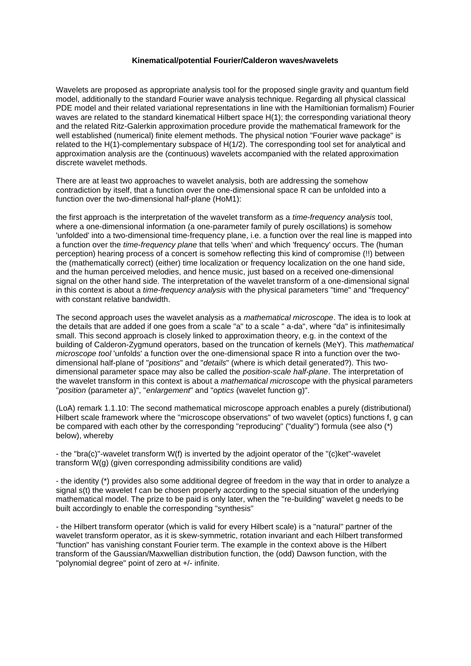## **Kinematical/potential Fourier/Calderon waves/wavelets**

Wavelets are proposed as appropriate analysis tool for the proposed single gravity and quantum field model, additionally to the standard Fourier wave analysis technique. Regarding all physical classical PDE model and their related variational representations in line with the Hamiltionian formalism) Fourier waves are related to the standard kinematical Hilbert space H(1); the corresponding variational theory and the related Ritz-Galerkin approximation procedure provide the mathematical framework for the well established (numerical) finite element methods. The physical notion "Fourier wave package" is related to the H(1)-complementary subspace of H(1/2). The corresponding tool set for analytical and approximation analysis are the (continuous) wavelets accompanied with the related approximation discrete wavelet methods.

There are at least two approaches to wavelet analysis, both are addressing the somehow contradiction by itself, that a function over the one-dimensional space R can be unfolded into a function over the two-dimensional half-plane (HoM1):

the first approach is the interpretation of the wavelet transform as a *time-frequency analysis* tool, where a one-dimensional information (a one-parameter family of purely oscillations) is somehow 'unfolded' into a two-dimensional time-frequency plane, i.e. a function over the real line is mapped into a function over the *time-frequency plane* that tells 'when' and which 'frequency' occurs. The (human perception) hearing process of a concert is somehow reflecting this kind of compromise (!!) between the (mathematically correct) (either) time localization or frequency localization on the one hand side, and the human perceived melodies, and hence music, just based on a received one-dimensional signal on the other hand side. The interpretation of the wavelet transform of a one-dimensional signal in this context is about a *time-frequency analysis* with the physical parameters "time" and "frequency" with constant relative bandwidth.

The second approach uses the wavelet analysis as a *mathematical microscope*. The idea is to look at the details that are added if one goes from a scale "a" to a scale " a-da", where "da" is infinitesimally small. This second approach is closely linked to approximation theory, e.g. in the context of the building of Calderon-Zygmund operators, based on the truncation of kernels (MeY). This *mathematical microscope tool* 'unfolds' a function over the one-dimensional space R into a function over the twodimensional half-plane of "*positions*" and "*details*" (where is which detail generated?). This twodimensional parameter space may also be called the *position-scale half-plane*. The interpretation of the wavelet transform in this context is about a *mathematical microscope* with the physical parameters "*position* (parameter a)", "*enlargement*" and "*optics* (wavelet function g)".

(LoA) remark 1.1.10: The second mathematical microscope approach enables a purely (distributional) Hilbert scale framework where the "microscope observations" of two wavelet (optics) functions f, g can be compared with each other by the corresponding "reproducing" ("duality") formula (see also (\*) below), whereby

- the "bra(c)"-wavelet transform W(f) is inverted by the adjoint operator of the "(c)ket"-wavelet transform W(g) (given corresponding admissibility conditions are valid)

- the identity (\*) provides also some additional degree of freedom in the way that in order to analyze a signal s(t) the wavelet f can be chosen properly according to the special situation of the underlying mathematical model. The prize to be paid is only later, when the "re-building" wavelet g needs to be built accordingly to enable the corresponding "synthesis"

- the Hilbert transform operator (which is valid for every Hilbert scale) is a "natural" partner of the wavelet transform operator, as it is skew-symmetric, rotation invariant and each Hilbert transformed "function" has vanishing constant Fourier term. The example in the context above is the Hilbert transform of the Gaussian/Maxwellian distribution function, the (odd) Dawson function, with the "polynomial degree" point of zero at +/- infinite.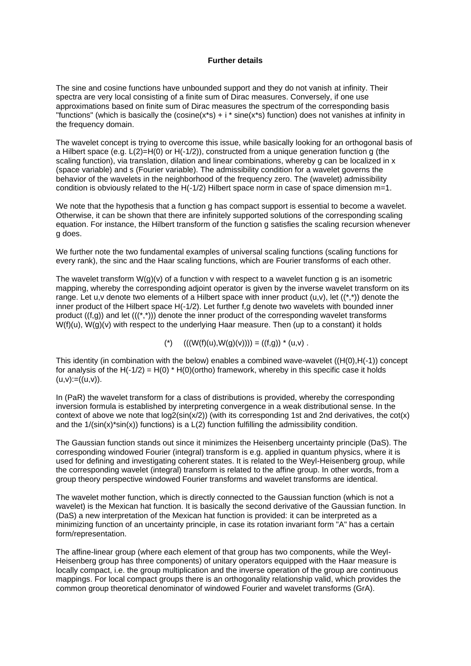## **Further details**

The sine and cosine functions have unbounded support and they do not vanish at infinity. Their spectra are very local consisting of a finite sum of Dirac measures. Conversely, if one use approximations based on finite sum of Dirac measures the spectrum of the corresponding basis "functions" (which is basically the (cosine(x\*s) + i \* sine(x\*s) function) does not vanishes at infinity in the frequency domain.

The wavelet concept is trying to overcome this issue, while basically looking for an orthogonal basis of a Hilbert space (e.g.  $L(2)=H(0)$  or  $H(-1/2)$ ), constructed from a unique generation function g (the scaling function), via translation, dilation and linear combinations, whereby g can be localized in x (space variable) and s (Fourier variable). The admissibility condition for a wavelet governs the behavior of the wavelets in the neighborhood of the frequency zero. The (wavelet) admissibility condition is obviously related to the  $H(-1/2)$  Hilbert space norm in case of space dimension m=1.

We note that the hypothesis that a function g has compact support is essential to become a wavelet. Otherwise, it can be shown that there are infinitely supported solutions of the corresponding scaling equation. For instance, the Hilbert transform of the function g satisfies the scaling recursion whenever g does.

We further note the two fundamental examples of universal scaling functions (scaling functions for every rank), the sinc and the Haar scaling functions, which are Fourier transforms of each other.

The wavelet transform  $W(q)(v)$  of a function v with respect to a wavelet function q is an isometric mapping, whereby the corresponding adjoint operator is given by the inverse wavelet transform on its range. Let u, v denote two elements of a Hilbert space with inner product  $(u,v)$ , let  $((*,))$  denote the inner product of the Hilbert space H(-1/2). Let further f,g denote two wavelets with bounded inner product  $((f,g))$  and let  $(((*,^*))$  denote the inner product of the corresponding wavelet transforms  $W(f)(u)$ ,  $W(g)(v)$  with respect to the underlying Haar measure. Then (up to a constant) it holds

(\*)  $((W(f)(u), W(g)(v)))) = ((f,g)) * (u,v)$ .

This identity (in combination with the below) enables a combined wave-wavelet ((H(0),H(-1)) concept for analysis of the  $H(-1/2) = H(0) * H(0)$  (ortho) framework, whereby in this specific case it holds  $(u,v):=((u,v))$ .

In (PaR) the wavelet transform for a class of distributions is provided, whereby the corresponding inversion formula is established by interpreting convergence in a weak distributional sense. In the context of above we note that  $log2(sin(x/2))$  (with its corresponding 1st and 2nd derivatives, the cot(x) and the  $1/(sin(x)*sin(x))$  functions) is a  $L(2)$  function fulfilling the admissibility condition.

The Gaussian function stands out since it minimizes the Heisenberg uncertainty principle (DaS). The corresponding windowed Fourier (integral) transform is e.g. applied in quantum physics, where it is used for defining and investigating coherent states. It is related to the Weyl-Heisenberg group, while the corresponding wavelet (integral) transform is related to the affine group. In other words, from a group theory perspective windowed Fourier transforms and wavelet transforms are identical.

The wavelet mother function, which is directly connected to the Gaussian function (which is not a wavelet) is the Mexican hat function. It is basically the second derivative of the Gaussian function. In (DaS) a new interpretation of the Mexican hat function is provided: it can be interpreted as a minimizing function of an uncertainty principle, in case its rotation invariant form "A" has a certain form/representation.

The affine-linear group (where each element of that group has two components, while the Weyl-Heisenberg group has three components) of unitary operators equipped with the Haar measure is locally compact, i.e. the group multiplication and the inverse operation of the group are continuous mappings. For local compact groups there is an orthogonality relationship valid, which provides the common group theoretical denominator of windowed Fourier and wavelet transforms (GrA).